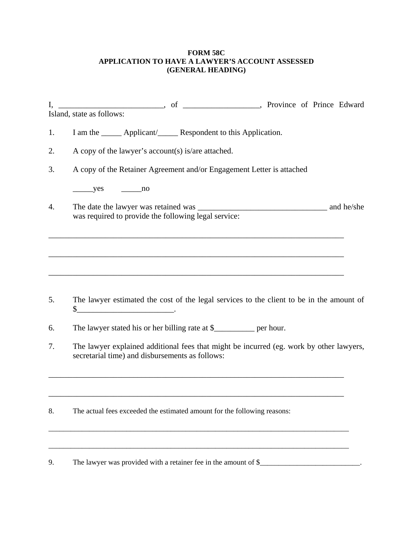## **FORM 58C APPLICATION TO HAVE A LAWYER'S ACCOUNT ASSESSED (GENERAL HEADING)**

|                           |  | Province of Prince Edward |  |  |
|---------------------------|--|---------------------------|--|--|
| Island, state as follows: |  |                           |  |  |

- 1. I am the \_\_\_\_\_\_ Applicant/\_\_\_\_\_\_ Respondent to this Application.
- 2. A copy of the lawyer's account(s) is/are attached.
- 3. A copy of the Retainer Agreement and/or Engagement Letter is attached

 $yes$  no

4. The date the lawyer was retained was \_\_\_\_\_\_\_\_\_\_\_\_\_\_\_\_\_\_\_\_\_\_\_\_\_\_\_\_\_\_\_\_ and he/she was required to provide the following legal service:

\_\_\_\_\_\_\_\_\_\_\_\_\_\_\_\_\_\_\_\_\_\_\_\_\_\_\_\_\_\_\_\_\_\_\_\_\_\_\_\_\_\_\_\_\_\_\_\_\_\_\_\_\_\_\_\_\_\_\_\_\_\_\_\_\_\_\_\_\_\_\_\_\_

\_\_\_\_\_\_\_\_\_\_\_\_\_\_\_\_\_\_\_\_\_\_\_\_\_\_\_\_\_\_\_\_\_\_\_\_\_\_\_\_\_\_\_\_\_\_\_\_\_\_\_\_\_\_\_\_\_\_\_\_\_\_\_\_\_\_\_\_\_\_\_\_\_

- 5. The lawyer estimated the cost of the legal services to the client to be in the amount of  $\frac{\frac{1}{2}$   $\frac{1}{2}$   $\frac{1}{2}$   $\frac{1}{2}$   $\frac{1}{2}$   $\frac{1}{2}$   $\frac{1}{2}$   $\frac{1}{2}$   $\frac{1}{2}$   $\frac{1}{2}$   $\frac{1}{2}$   $\frac{1}{2}$   $\frac{1}{2}$   $\frac{1}{2}$   $\frac{1}{2}$   $\frac{1}{2}$   $\frac{1}{2}$   $\frac{1}{2}$   $\frac{1}{2}$   $\frac{1}{2}$   $\frac{1}{2}$   $\frac{1}{2}$
- 6. The lawyer stated his or her billing rate at \$\_\_\_\_\_\_\_\_\_\_ per hour.
- 7. The lawyer explained additional fees that might be incurred (eg. work by other lawyers, secretarial time) and disbursements as follows:

\_\_\_\_\_\_\_\_\_\_\_\_\_\_\_\_\_\_\_\_\_\_\_\_\_\_\_\_\_\_\_\_\_\_\_\_\_\_\_\_\_\_\_\_\_\_\_\_\_\_\_\_\_\_\_\_\_\_\_\_\_\_\_\_\_\_\_\_\_\_\_\_\_

\_\_\_\_\_\_\_\_\_\_\_\_\_\_\_\_\_\_\_\_\_\_\_\_\_\_\_\_\_\_\_\_\_\_\_\_\_\_\_\_\_\_\_\_\_\_\_\_\_\_\_\_\_\_\_\_\_\_\_\_\_\_\_\_\_\_\_\_\_\_\_\_\_

\_\_\_\_\_\_\_\_\_\_\_\_\_\_\_\_\_\_\_\_\_\_\_\_\_\_\_\_\_\_\_\_\_\_\_\_\_\_\_\_\_\_\_\_\_\_\_\_\_\_\_\_\_\_\_\_\_\_\_\_\_\_\_\_\_\_\_\_\_\_\_\_\_\_\_\_\_\_\_\_\_

\_\_\_\_\_\_\_\_\_\_\_\_\_\_\_\_\_\_\_\_\_\_\_\_\_\_\_\_\_\_\_\_\_\_\_\_\_\_\_\_\_\_\_\_\_\_\_\_\_\_\_\_\_\_\_\_\_\_\_\_\_\_\_\_\_\_\_\_\_\_\_\_\_\_\_\_\_\_\_\_\_

8. The actual fees exceeded the estimated amount for the following reasons:

9. The lawyer was provided with a retainer fee in the amount of \$\_\_\_\_\_\_\_\_\_\_\_\_\_\_\_\_\_\_\_\_\_\_\_.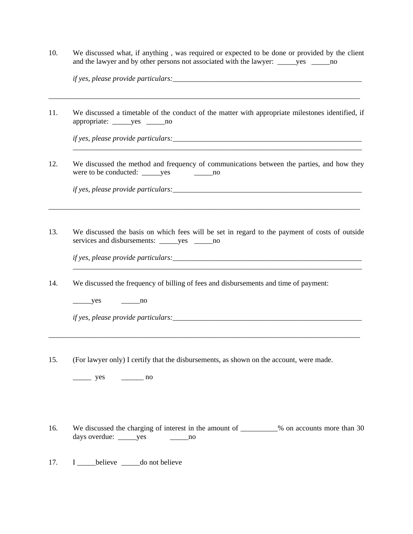10. We discussed what, if anything , was required or expected to be done or provided by the client and the lawyer and by other persons not associated with the lawyer: \_\_\_\_\_yes \_\_\_\_\_\_\_no

| $\cdot$ $\sim$                          |                     |  |
|-----------------------------------------|---------------------|--|
| <i>it ves.</i><br><i>please provide</i> | <i>particulars:</i> |  |
|                                         |                     |  |
|                                         |                     |  |

11. We discussed a timetable of the conduct of the matter with appropriate milestones identified, if appropriate: \_\_\_\_\_yes \_\_\_\_\_no

\_\_\_\_\_\_\_\_\_\_\_\_\_\_\_\_\_\_\_\_\_\_\_\_\_\_\_\_\_\_\_\_\_\_\_\_\_\_\_\_\_\_\_\_\_\_\_\_\_\_\_\_\_\_\_\_\_\_\_\_\_\_\_\_\_\_\_\_\_\_\_\_\_\_\_\_\_\_\_\_\_\_\_\_

*if yes, please provide particulars:* 

12. We discussed the method and frequency of communications between the parties, and how they were to be conducted: \_\_\_\_\_yes \_\_\_\_\_\_\_\_\_\_no

\_\_\_\_\_\_\_\_\_\_\_\_\_\_\_\_\_\_\_\_\_\_\_\_\_\_\_\_\_\_\_\_\_\_\_\_\_\_\_\_\_\_\_\_\_\_\_\_\_\_\_\_\_\_\_\_\_\_\_\_\_\_\_\_\_\_\_\_\_\_\_\_\_\_\_\_\_\_

*if yes, please provide particulars:* 

13. We discussed the basis on which fees will be set in regard to the payment of costs of outside services and disbursements: \_\_\_\_\_yes \_\_\_\_\_no

\_\_\_\_\_\_\_\_\_\_\_\_\_\_\_\_\_\_\_\_\_\_\_\_\_\_\_\_\_\_\_\_\_\_\_\_\_\_\_\_\_\_\_\_\_\_\_\_\_\_\_\_\_\_\_\_\_\_\_\_\_\_\_\_\_\_\_\_\_\_\_\_\_\_\_\_\_\_\_\_\_\_\_\_

*if yes, please provide particulars:*\_\_\_\_\_\_\_\_\_\_\_\_\_\_\_\_\_\_\_\_\_\_\_\_\_\_\_\_\_\_\_\_\_\_\_\_\_\_\_\_\_\_\_\_\_\_\_\_\_\_\_  $\frac{1}{2}$  , and the set of the set of the set of the set of the set of the set of the set of the set of the set of the set of the set of the set of the set of the set of the set of the set of the set of the set of the set

14. We discussed the frequency of billing of fees and disbursements and time of payment:

 $yes$  no

*if yes, please provide particulars:* 

15. (For lawyer only) I certify that the disbursements, as shown on the account, were made.

\_\_\_\_\_\_\_\_\_\_\_\_\_\_\_\_\_\_\_\_\_\_\_\_\_\_\_\_\_\_\_\_\_\_\_\_\_\_\_\_\_\_\_\_\_\_\_\_\_\_\_\_\_\_\_\_\_\_\_\_\_\_\_\_\_\_\_\_\_\_\_\_\_\_\_\_\_\_\_\_\_\_\_\_

 $yes$  no

16. We discussed the charging of interest in the amount of \_\_\_\_\_\_\_\_% on accounts more than 30 days overdue: \_\_\_\_\_yes \_\_\_\_\_\_\_\_no

17. I believe do not believe